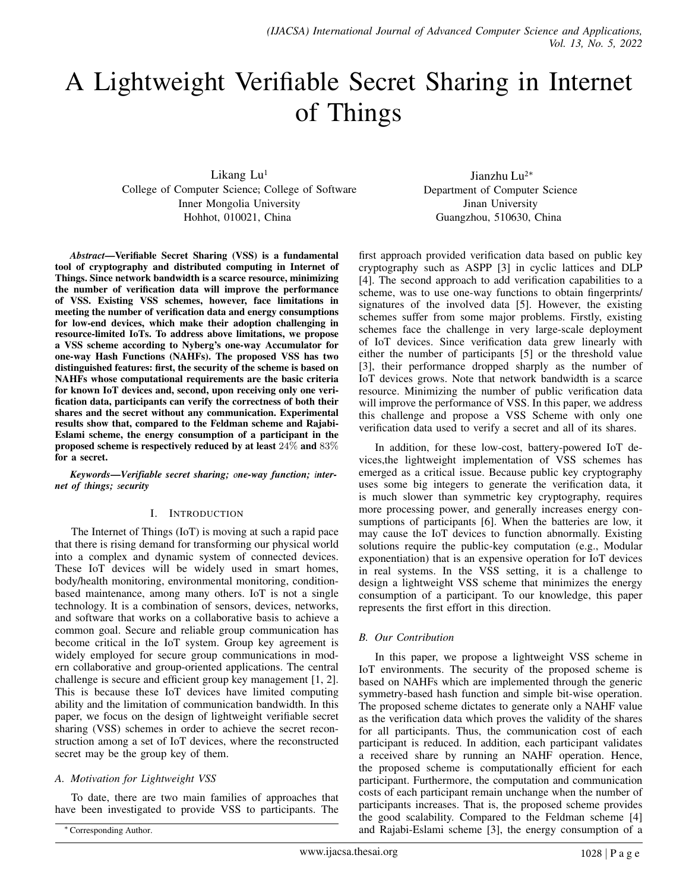# A Lightweight Verifiable Secret Sharing in Internet of Things

Likang  $Lu<sup>1</sup>$ College of Computer Science; College of Software Inner Mongolia University Hohhot, 010021, China

Jianzhu Lu<sup>2</sup><sup>∗</sup> Department of Computer Science Jinan University Guangzhou, 510630, China

*Abstract*—Verifiable Secret Sharing (VSS) is a fundamental tool of cryptography and distributed computing in Internet of Things. Since network bandwidth is a scarce resource, minimizing the number of verification data will improve the performance of VSS. Existing VSS schemes, however, face limitations in meeting the number of verification data and energy consumptions for low-end devices, which make their adoption challenging in resource-limited IoTs. To address above limitations, we propose a VSS scheme according to Nyberg's one-way Accumulator for one-way Hash Functions (NAHFs). The proposed VSS has two distinguished features: first, the security of the scheme is based on NAHFs whose computational requirements are the basic criteria for known IoT devices and, second, upon receiving only one verification data, participants can verify the correctness of both their shares and the secret without any communication. Experimental results show that, compared to the Feldman scheme and Rajabi-Eslami scheme, the energy consumption of a participant in the proposed scheme is respectively reduced by at least 24% and 83% for a secret.

*Keywords*—*Verifiable secret sharing; one-way function; internet of things; security*

#### I. INTRODUCTION

The Internet of Things (IoT) is moving at such a rapid pace that there is rising demand for transforming our physical world into a complex and dynamic system of connected devices. These IoT devices will be widely used in smart homes, body/health monitoring, environmental monitoring, conditionbased maintenance, among many others. IoT is not a single technology. It is a combination of sensors, devices, networks, and software that works on a collaborative basis to achieve a common goal. Secure and reliable group communication has become critical in the IoT system. Group key agreement is widely employed for secure group communications in modern collaborative and group-oriented applications. The central challenge is secure and efficient group key management [1, 2]. This is because these IoT devices have limited computing ability and the limitation of communication bandwidth. In this paper, we focus on the design of lightweight verifiable secret sharing (VSS) schemes in order to achieve the secret reconstruction among a set of IoT devices, where the reconstructed secret may be the group key of them.

#### *A. Motivation for Lightweight VSS*

To date, there are two main families of approaches that have been investigated to provide VSS to participants. The

first approach provided verification data based on public key cryptography such as ASPP [3] in cyclic lattices and DLP [4]. The second approach to add verification capabilities to a scheme, was to use one-way functions to obtain fingerprints/ signatures of the involved data [5]. However, the existing schemes suffer from some major problems. Firstly, existing schemes face the challenge in very large-scale deployment of IoT devices. Since verification data grew linearly with either the number of participants [5] or the threshold value [3], their performance dropped sharply as the number of IoT devices grows. Note that network bandwidth is a scarce resource. Minimizing the number of public verification data will improve the performance of VSS. In this paper, we address this challenge and propose a VSS Scheme with only one verification data used to verify a secret and all of its shares.

In addition, for these low-cost, battery-powered IoT devices,the lightweight implementation of VSS schemes has emerged as a critical issue. Because public key cryptography uses some big integers to generate the verification data, it is much slower than symmetric key cryptography, requires more processing power, and generally increases energy consumptions of participants [6]. When the batteries are low, it may cause the IoT devices to function abnormally. Existing solutions require the public-key computation (e.g., Modular exponentiation) that is an expensive operation for IoT devices in real systems. In the VSS setting, it is a challenge to design a lightweight VSS scheme that minimizes the energy consumption of a participant. To our knowledge, this paper represents the first effort in this direction.

#### *B. Our Contribution*

In this paper, we propose a lightweight VSS scheme in IoT environments. The security of the proposed scheme is based on NAHFs which are implemented through the generic symmetry-based hash function and simple bit-wise operation. The proposed scheme dictates to generate only a NAHF value as the verification data which proves the validity of the shares for all participants. Thus, the communication cost of each participant is reduced. In addition, each participant validates a received share by running an NAHF operation. Hence, the proposed scheme is computationally efficient for each participant. Furthermore, the computation and communication costs of each participant remain unchange when the number of participants increases. That is, the proposed scheme provides the good scalability. Compared to the Feldman scheme [4] and Rajabi-Eslami scheme [3], the energy consumption of a

<sup>∗</sup> Corresponding Author.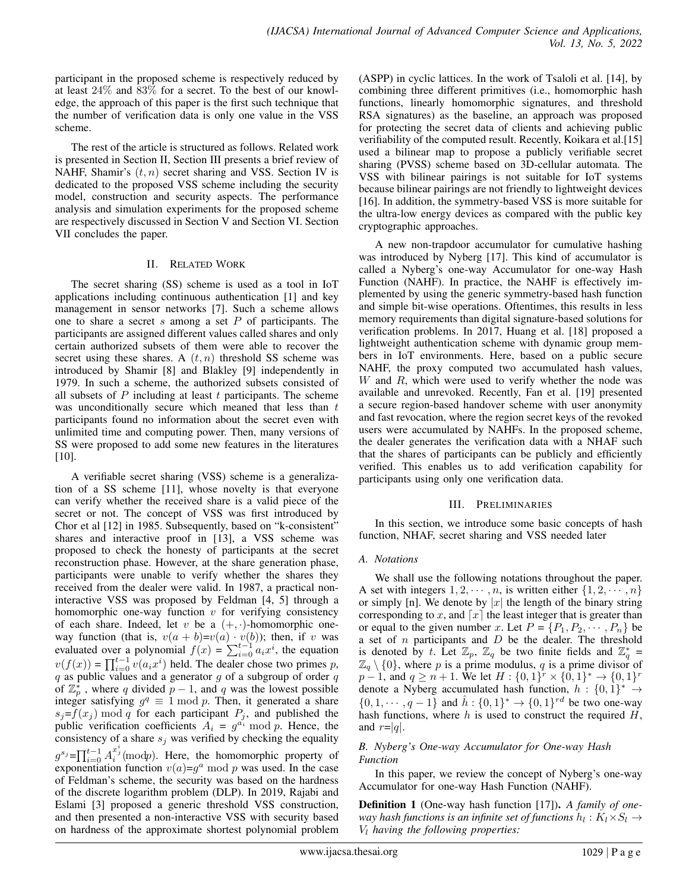participant in the proposed scheme is respectively reduced by at least 24% and 83% for a secret. To the best of our knowledge, the approach of this paper is the first such technique that the number of verification data is only one value in the VSS scheme.

The rest of the article is structured as follows. Related work is presented in Section II, Section III presents a brief review of NAHF, Shamir's  $(t, n)$  secret sharing and VSS. Section IV is dedicated to the proposed VSS scheme including the security model, construction and security aspects. The performance analysis and simulation experiments for the proposed scheme are respectively discussed in Section V and Section VI. Section VII concludes the paper.

#### II. RELATED WORK

The secret sharing (SS) scheme is used as a tool in IoT applications including continuous authentication [1] and key management in sensor networks [7]. Such a scheme allows one to share a secret  $s$  among a set  $P$  of participants. The participants are assigned different values called shares and only certain authorized subsets of them were able to recover the secret using these shares. A  $(t, n)$  threshold SS scheme was introduced by Shamir [8] and Blakley [9] independently in 1979. In such a scheme, the authorized subsets consisted of all subsets of  $P$  including at least  $t$  participants. The scheme was unconditionally secure which meaned that less than  $t$ participants found no information about the secret even with unlimited time and computing power. Then, many versions of SS were proposed to add some new features in the literatures [10].

A verifiable secret sharing (VSS) scheme is a generalization of a SS scheme [11], whose novelty is that everyone can verify whether the received share is a valid piece of the secret or not. The concept of VSS was first introduced by Chor et al [12] in 1985. Subsequently, based on "k-consistent" shares and interactive proof in [13], a VSS scheme was proposed to check the honesty of participants at the secret reconstruction phase. However, at the share generation phase, participants were unable to verify whether the shares they received from the dealer were valid. In 1987, a practical noninteractive VSS was proposed by Feldman [4, 5] through a homomorphic one-way function  $v$  for verifying consistency of each share. Indeed, let v be a  $(+, \cdot)$ -homomorphic oneway function (that is,  $v(a + b)=v(a) \cdot v(b)$ ); then, if v was evaluated over a polynomial  $f(x) = \sum_{i=0}^{t-1} a_i x^i$ , the equation  $v(f(x)) = \prod_{i=0}^{t-1} v(a_i x^i)$  held. The dealer chose two primes p,  $q$  as public values and a generator  $q$  of a subgroup of order  $q$ of  $\mathbb{Z}_p^*$ , where q divided  $p-1$ , and q was the lowest possible integer satisfying  $g^q \equiv 1 \bmod p$ . Then, it generated a share  $s_i = f(x_i) \mod q$  for each participant  $P_i$ , and published the public verification coefficients  $A_i = g^{a_i} \mod p$ . Hence, the consistency of a share  $s_i$  was verified by checking the equality  $g^{s_j} = \prod_{i=0}^{t-1} A_i^{x_j^i}$  (modp). Here, the homomorphic property of exponentiation function  $v(a)=g^a \mod p$  was used. In the case of Feldman's scheme, the security was based on the hardness of the discrete logarithm problem (DLP). In 2019, Rajabi and Eslami [3] proposed a generic threshold VSS construction, and then presented a non-interactive VSS with security based on hardness of the approximate shortest polynomial problem

(ASPP) in cyclic lattices. In the work of Tsaloli et al. [14], by combining three different primitives (i.e., homomorphic hash functions, linearly homomorphic signatures, and threshold RSA signatures) as the baseline, an approach was proposed for protecting the secret data of clients and achieving public verifiability of the computed result. Recently, Koikara et al.[15] used a bilinear map to propose a publicly verifiable secret sharing (PVSS) scheme based on 3D-cellular automata. The VSS with bilinear pairings is not suitable for IoT systems because bilinear pairings are not friendly to lightweight devices [16]. In addition, the symmetry-based VSS is more suitable for the ultra-low energy devices as compared with the public key cryptographic approaches.

A new non-trapdoor accumulator for cumulative hashing was introduced by Nyberg [17]. This kind of accumulator is called a Nyberg's one-way Accumulator for one-way Hash Function (NAHF). In practice, the NAHF is effectively implemented by using the generic symmetry-based hash function and simple bit-wise operations. Oftentimes, this results in less memory requirements than digital signature-based solutions for verification problems. In 2017, Huang et al. [18] proposed a lightweight authentication scheme with dynamic group members in IoT environments. Here, based on a public secure NAHF, the proxy computed two accumulated hash values,  $W$  and  $R$ , which were used to verify whether the node was available and unrevoked. Recently, Fan et al. [19] presented a secure region-based handover scheme with user anonymity and fast revocation, where the region secret keys of the revoked users were accumulated by NAHFs. In the proposed scheme, the dealer generates the verification data with a NHAF such that the shares of participants can be publicly and efficiently verified. This enables us to add verification capability for participants using only one verification data.

#### III. PRELIMINARIES

In this section, we introduce some basic concepts of hash function, NHAF, secret sharing and VSS needed later

#### *A. Notations*

We shall use the following notations throughout the paper. A set with integers  $1, 2, \dots, n$ , is written either  $\{1, 2, \dots, n\}$ or simply [n]. We denote by |x| the length of the binary string corresponding to x, and  $\lceil x \rceil$  the least integer that is greater than or equal to the given number x. Let  $P = \{P_1, P_2, \dots, P_n\}$  be a set of  $n$  participants and  $D$  be the dealer. The threshold is denoted by t. Let  $\mathbb{Z}_p$ ,  $\mathbb{Z}_q$  be two finite fields and  $\mathbb{Z}_q^*$  =  $\mathbb{Z}_q \setminus \{0\}$ , where p is a prime modulus, q is a prime divisor of  $p-1$ , and  $q \ge n+1$ . We let  $H: \{0,1\}^r \times \{0,1\}^* \to \{0,1\}^r$ denote a Nyberg accumulated hash function,  $h: \{0, 1\}^* \rightarrow$  $\{0, 1, \dots, q-1\}$  and  $\hat{h}: \{0, 1\}^* \to \{0, 1\}^{rd}$  be two one-way hash functions, where  $h$  is used to construct the required  $H$ , and  $r=|q|$ .

## *B. Nyberg's One-way Accumulator for One-way Hash Function*

In this paper, we review the concept of Nyberg's one-way Accumulator for one-way Hash Function (NAHF).

Definition 1 (One-way hash function [17]). *A family of one*way hash functions is an infinite set of functions  $h_l: K_l \times S_l \to$  $V_l$  *having the following properties:*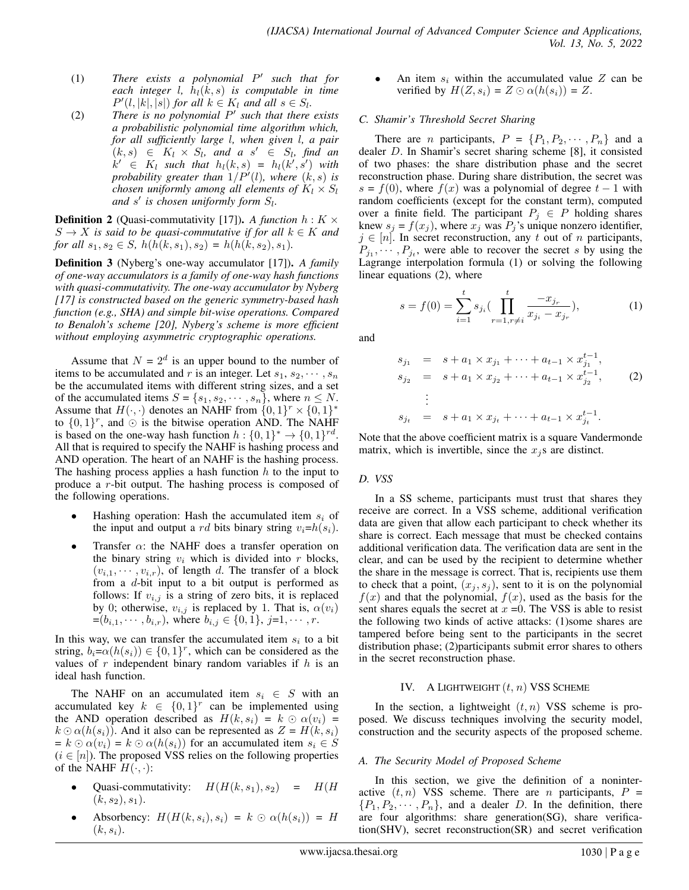- (1) *There exists a polynomial* P 0 *such that for each integer l,*  $h_l(k, s)$  *is computable in time*  $P'(l, |k|, |s|)$  *for all*  $k \in K_l$  *and all*  $s \in S_l$ *.*
- (2) *There is no polynomial* P 0 *such that there exists a probabilistic polynomial time algorithm which, for all sufficiently large* l*, when given* l*, a pair*  $(k, s) \in K_l \times S_l$ , and a s'  $\in S_l$ , find an  $\hat{k}' \in K_l$  such that  $h_l(k, s) = h_l(k', s')$  with *probability greater than*  $1/P'(l)$ *, where*  $(k, s)$  *is chosen uniformly among all elements of*  $K_l \times S_l$ and s' is chosen uniformly form  $S_l$ .

**Definition 2** (Quasi-commutativity [17]). A function  $h: K \times$  $S \to X$  *is said to be quasi-commutative if for all*  $k \in K$  *and for all*  $s_1, s_2 \in S$ ,  $h(h(k, s_1), s_2) = h(h(k, s_2), s_1)$ .

Definition 3 (Nyberg's one-way accumulator [17]). *A family of one-way accumulators is a family of one-way hash functions with quasi-commutativity. The one-way accumulator by Nyberg [17] is constructed based on the generic symmetry-based hash function (e.g., SHA) and simple bit-wise operations. Compared to Benaloh's scheme [20], Nyberg's scheme is more efficient without employing asymmetric cryptographic operations.*

Assume that  $N = 2^d$  is an upper bound to the number of items to be accumulated and r is an integer. Let  $s_1, s_2, \dots, s_n$ be the accumulated items with different string sizes, and a set of the accumulated items  $S = \{s_1, s_2, \dots, s_n\}$ , where  $n \leq N$ . Assume that  $H(\cdot, \cdot)$  denotes an NAHF from  $\{0, 1\}^r \times \{0, 1\}^*$ to  $\{0,1\}^r$ , and  $\odot$  is the bitwise operation AND. The NAHF is based on the one-way hash function  $h: \{0,1\}^* \to \{0,1\}^{rd}$ . All that is required to specify the NAHF is hashing process and AND operation. The heart of an NAHF is the hashing process. The hashing process applies a hash function  $h$  to the input to produce a r-bit output. The hashing process is composed of the following operations.

- Hashing operation: Hash the accumulated item  $s_i$  of the input and output a rd bits binary string  $v_i=h(s_i)$ .
- Transfer  $\alpha$ : the NAHF does a transfer operation on the binary string  $v_i$  which is divided into r blocks,  $(v_{i,1}, \dots, v_{i,r})$ , of length d. The transfer of a block from a d-bit input to a bit output is performed as follows: If  $v_{i,j}$  is a string of zero bits, it is replaced by 0; otherwise,  $v_{i,j}$  is replaced by 1. That is,  $\alpha(v_i)$  $=(b_{i,1}, \dots, b_{i,r})$ , where  $b_{i,j} \in \{0,1\}$ ,  $j=1, \dots, r$ .

In this way, we can transfer the accumulated item  $s_i$  to a bit string,  $b_i = \alpha(h(s_i)) \in \{0, 1\}^r$ , which can be considered as the values of r independent binary random variables if  $h$  is an ideal hash function.

The NAHF on an accumulated item  $s_i \in S$  with an accumulated key  $k \in \{0,1\}^r$  can be implemented using the AND operation described as  $H(k, s_i) = k \odot \alpha(v_i)$  =  $k \odot \alpha(h(s_i))$ . And it also can be represented as  $Z = H(k, s_i)$  $k = k \odot \alpha(v_i) = k \odot \alpha(h(s_i))$  for an accumulated item  $s_i \in S$  $(i \in [n])$ . The proposed VSS relies on the following properties of the NAHF  $H(\cdot, \cdot)$ :

- Quasi-commutativity:  $H(H(k, s_1), s_2) = H(H)$  $(k, s_2), s_1$ .
- Absorbency:  $H(H(k, s_i), s_i) = k \odot \alpha(h(s_i)) = H$  $(k, s_i)$ .

An item  $s_i$  within the accumulated value Z can be verified by  $H(Z, s_i) = Z \odot \alpha(h(s_i)) = Z$ .

## *C. Shamir's Threshold Secret Sharing*

There are *n* participants,  $P = \{P_1, P_2, \dots, P_n\}$  and a dealer D. In Shamir's secret sharing scheme [8], it consisted of two phases: the share distribution phase and the secret reconstruction phase. During share distribution, the secret was  $s = f(0)$ , where  $f(x)$  was a polynomial of degree  $t - 1$  with random coefficients (except for the constant term), computed over a finite field. The participant  $P_j \in P$  holding shares knew  $s_j = f(x_j)$ , where  $x_j$  was  $P_j$ 's unique nonzero identifier,  $j \in [n]$ . In secret reconstruction, any t out of n participants,  $P_{j_1}, \dots, P_{j_t}$ , were able to recover the secret s by using the Lagrange interpolation formula (1) or solving the following linear equations (2), where

$$
s = f(0) = \sum_{i=1}^{t} s_{j_i} (\prod_{r=1, r \neq i}^{t} \frac{-x_{j_r}}{x_{j_i} - x_{j_r}}),
$$
 (1)

and

$$
s_{j_1} = s + a_1 \times x_{j_1} + \dots + a_{t-1} \times x_{j_1}^{t-1},
$$
  
\n
$$
s_{j_2} = s + a_1 \times x_{j_2} + \dots + a_{t-1} \times x_{j_2}^{t-1},
$$
  
\n
$$
\vdots
$$
  
\n
$$
s_{j_t} = s + a_1 \times x_{j_t} + \dots + a_{t-1} \times x_{j_t}^{t-1}.
$$
  
\n(2)

Note that the above coefficient matrix is a square Vandermonde matrix, which is invertible, since the  $x_j$  s are distinct.

#### *D. VSS*

In a SS scheme, participants must trust that shares they receive are correct. In a VSS scheme, additional verification data are given that allow each participant to check whether its share is correct. Each message that must be checked contains additional verification data. The verification data are sent in the clear, and can be used by the recipient to determine whether the share in the message is correct. That is, recipients use them to check that a point,  $(x_j, s_j)$ , sent to it is on the polynomial  $f(x)$  and that the polynomial,  $f(x)$ , used as the basis for the sent shares equals the secret at  $x = 0$ . The VSS is able to resist the following two kinds of active attacks: (1)some shares are tampered before being sent to the participants in the secret distribution phase; (2)participants submit error shares to others in the secret reconstruction phase.

#### IV. A LIGHTWEIGHT  $(t, n)$  VSS SCHEME

In the section, a lightweight  $(t, n)$  VSS scheme is proposed. We discuss techniques involving the security model, construction and the security aspects of the proposed scheme.

#### *A. The Security Model of Proposed Scheme*

In this section, we give the definition of a noninteractive  $(t, n)$  VSS scheme. There are *n* participants,  $P =$  $\{P_1, P_2, \cdots, P_n\}$ , and a dealer D. In the definition, there are four algorithms: share generation(SG), share verification(SHV), secret reconstruction(SR) and secret verification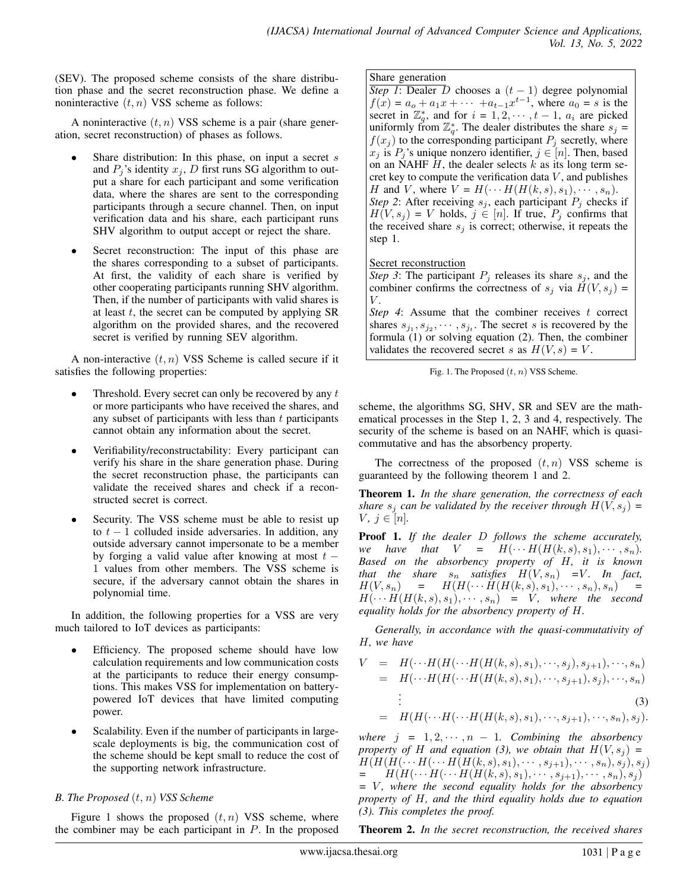(SEV). The proposed scheme consists of the share distribution phase and the secret reconstruction phase. We define a noninteractive  $(t, n)$  VSS scheme as follows:

A noninteractive  $(t, n)$  VSS scheme is a pair (share generation, secret reconstruction) of phases as follows.

- Share distribution: In this phase, on input a secret  $s$ and  $P_i$ 's identity  $x_j$ , D first runs SG algorithm to output a share for each participant and some verification data, where the shares are sent to the corresponding participants through a secure channel. Then, on input verification data and his share, each participant runs SHV algorithm to output accept or reject the share.
- Secret reconstruction: The input of this phase are the shares corresponding to a subset of participants. At first, the validity of each share is verified by other cooperating participants running SHV algorithm. Then, if the number of participants with valid shares is at least  $t$ , the secret can be computed by applying SR algorithm on the provided shares, and the recovered secret is verified by running SEV algorithm.

A non-interactive  $(t, n)$  VSS Scheme is called secure if it satisfies the following properties:

- Threshold. Every secret can only be recovered by any  $t$ or more participants who have received the shares, and any subset of participants with less than  $t$  participants cannot obtain any information about the secret.
- Verifiability/reconstructability: Every participant can verify his share in the share generation phase. During the secret reconstruction phase, the participants can validate the received shares and check if a reconstructed secret is correct.
- Security. The VSS scheme must be able to resist up to  $t - 1$  colluded inside adversaries. In addition, any outside adversary cannot impersonate to be a member by forging a valid value after knowing at most  $t -$ 1 values from other members. The VSS scheme is secure, if the adversary cannot obtain the shares in polynomial time.

In addition, the following properties for a VSS are very much tailored to IoT devices as participants:

- Efficiency. The proposed scheme should have low calculation requirements and low communication costs at the participants to reduce their energy consumptions. This makes VSS for implementation on batterypowered IoT devices that have limited computing power.
- Scalability. Even if the number of participants in largescale deployments is big, the communication cost of the scheme should be kept small to reduce the cost of the supporting network infrastructure.

## *B. The Proposed* (t, n) *VSS Scheme*

Figure 1 shows the proposed  $(t, n)$  VSS scheme, where the combiner may be each participant in  $P$ . In the proposed

## Share generation

*Step 1*: Dealer  $\overline{D}$  chooses a  $(t - 1)$  degree polynomial  $f(x) = a_0 + a_1 x + \cdots + a_{t-1} x^{t-1}$ , where  $a_0 = s$  is the secret in  $\mathbb{Z}_q^*$ , and for  $i = 1, 2, \cdots, t - 1$ ,  $a_i$  are picked uniformly from  $\mathbb{Z}_q^*$ . The dealer distributes the share  $s_j =$  $f(x_j)$  to the corresponding participant  $P_j$  secretly, where  $x_j$  is  $P_j$ 's unique nonzero identifier,  $j \in [n]$ . Then, based on an NAHF  $H$ , the dealer selects  $k$  as its long term secret key to compute the verification data  $V$ , and publishes H and V, where  $V = H(\cdots H(H(k, s), s_1), \cdots, s_n)$ . *Step 2*: After receiving  $s_j$ , each participant  $P_j$  checks if  $H(V, s_j) = V$  holds,  $j \in [n]$ . If true,  $P_j$  confirms that the received share  $s_j$  is correct; otherwise, it repeats the step 1.

Secret reconstruction

*Step 3*: The participant  $P_j$  releases its share  $s_j$ , and the combiner confirms the correctness of  $s_j$  via  $H(V, s_j)$  =  $V$ .

*Step 4*: Assume that the combiner receives t correct shares  $s_{j_1}, s_{j_2}, \dots, s_{j_t}$ . The secret s is recovered by the formula (1) or solving equation (2). Then, the combiner validates the recovered secret s as  $H(V, s) = V$ .



scheme, the algorithms SG, SHV, SR and SEV are the mathematical processes in the Step 1, 2, 3 and 4, respectively. The security of the scheme is based on an NAHF, which is quasicommutative and has the absorbency property.

The correctness of the proposed  $(t, n)$  VSS scheme is guaranteed by the following theorem 1 and 2.

Theorem 1. *In the share generation, the correctness of each share*  $s_j$  *can be validated by the receiver through*  $H(V, s_j)$  = *V*, *j* ∈ [*n*].

Proof 1. *If the dealer* D *follows the scheme accurately, we have that*  $V = H(\cdots H(H(k, s), s_1), \cdots, s_n)$ *. Based on the absorbency property of* H*, it is known that the share*  $s_n$  *satisfies*  $H(V, s_n) = V$ *. In fact,*  $H(V, s_n) = H(H(\cdots H(H(k, s), s_1), \cdots, s_n), s_n) =$  $H(\cdots H(H(k, s), s_1), \cdots, s_n) = V$ , where the second *equality holds for the absorbency property of* H*.*

*Generally, in accordance with the quasi-commutativity of* H*, we have*

$$
V = H(\cdots H(H(\cdots H(H(k, s), s_1), \cdots, s_j), s_{j+1}), \cdots, s_n)
$$
  
= 
$$
H(\cdots H(H(\cdots H(H(k, s), s_1), \cdots, s_{j+1}), s_j), \cdots, s_n)
$$
  
:  
= 
$$
H(H(\cdots H(\cdots H(H(k, s), s_1), \cdots, s_{j+1}), \cdots, s_n), s_j).
$$
 (3)

*where*  $j = 1, 2, \dots, n - 1$ *. Combining the absorbency property of* H *and equation (3), we obtain that*  $H(V, s<sub>i</sub>) =$  $H(H(H(\cdots H(\cdots H(H(k,s), s_1),\cdots,s_{j+1}),\cdots,s_n), s_j), s_j)$  $H(H(\cdots H(\cdots H(H(k, s), s_1), \cdots, s_{j+1}), \cdots, s_n), s_j)$ *=* V *, where the second equality holds for the absorbency property of* H*, and the third equality holds due to equation (3). This completes the proof.*

Theorem 2. *In the secret reconstruction, the received shares*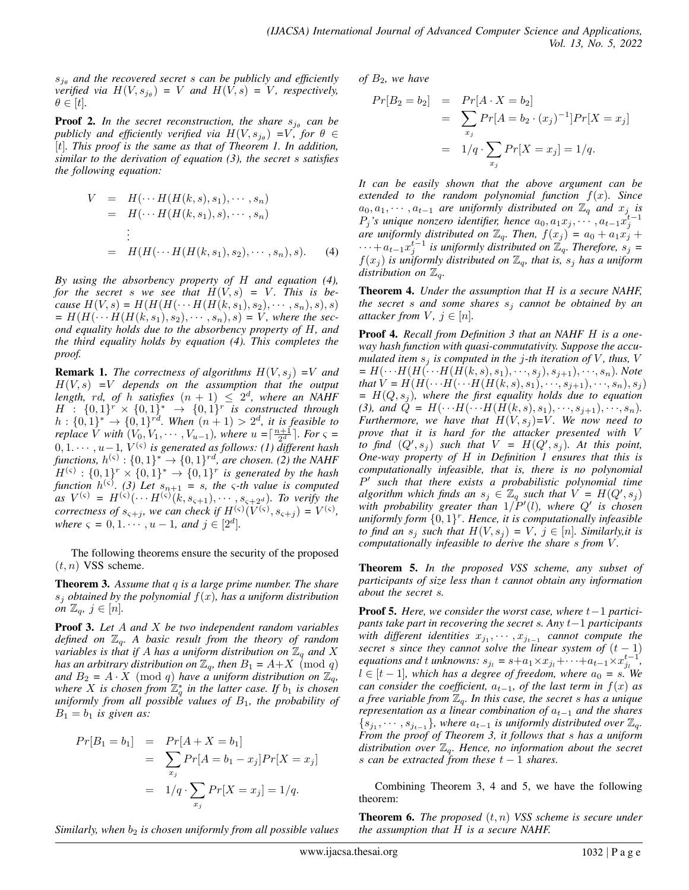$s_{j_{\theta}}$  and the recovered secret s can be publicly and efficiently  $verified via  $H(V, s_{j_{\theta}}) = V$  and  $H(V, s) = V$ , respectively,$  $\theta \in [t]$ .

**Proof 2.** In the secret reconstruction, the share  $s_{j_\theta}$  can be *publicly and efficiently verified via*  $H(V, s_{j_\theta}) = V$ *, for*  $\theta \in$ [t]*. This proof is the same as that of Theorem 1. In addition, similar to the derivation of equation (3), the secret* s *satisfies the following equation:*

$$
V = H(\cdots H(H(k, s), s_1), \cdots, s_n)
$$
  
=  $H(\cdots H(H(k, s_1), s), \cdots, s_n)$   
:  
=  $H(H(\cdots H(H(k, s_1), s_2), \cdots, s_n), s).$  (4)

*By using the absorbency property of* H *and equation (4), for the secret s we see that*  $H(V, s) = V$ . This is be*cause*  $H(V, s) = H(H(H(\cdots H(H(k, s_1), s_2), \cdots, s_n), s), s)$  $= H(H(\cdots H(H(k, s_1), s_2), \cdots, s_n), s) = V$ *, where the second equality holds due to the absorbency property of* H*, and the third equality holds by equation (4). This completes the proof.*

**Remark 1.** *The correctness of algorithms*  $H(V, s_i) = V$  *and* H(V, s) *=*V *depends on the assumption that the output length, rd, of h satisfies*  $(n + 1) \leq 2^d$ , where an NAHF  $H$ :  $\{0,1\}^r \times \{0,1\}^* \rightarrow \{0,1\}^r$  is constructed through  $h: \{0,1\}^* \to \{0,1\}^{rd}$ . When  $(n+1) > 2^d$ , it is feasible to *replace*  $\hat{V}$  *with*  $(\hat{V}_0, \hat{V}_1, \dots, \hat{V}_{u-1})$ *, where*  $u = \lceil \frac{n+1}{2^d} \rceil$ *. For*  $\varsigma$ 0, 1. · · · , u−1*,* V (ς) *is generated as follows: (1) different hash functions,*  $h^{(\varsigma)}: \{0,1\}^* \rightarrow \{0,1\}^{rd}$ , are chosen. (2) the NAHF  $H^{(\varsigma)}: \{0,1\}^r \times \{0,1\}^* \rightarrow \{0,1\}^r$  is generated by the hash *function*  $h^{(s)}$ . (3) Let  $s_{n+1}$  = s, the s-th value is computed *as*  $V^{(\varsigma)} = H^{(\varsigma)}(\cdots H^{(\varsigma)}(k, s_{\varsigma+1}), \cdots, s_{\varsigma+2^d})$ *. To verify the correctness of*  $s_{\varsigma+j}$ *, we can check if*  $H^{(\varsigma)}(V^{(\varsigma)}, s_{\varsigma+j}) = V^{(\varsigma)}$ *, where*  $\varsigma = 0, 1, \cdots, u - 1$ *, and*  $j \in [2^d]$ *.* 

The following theorems ensure the security of the proposed  $(t, n)$  VSS scheme.

Theorem 3. *Assume that* q *is a large prime number. The share*  $s_j$  *obtained by the polynomial*  $f(x)$ *, has a uniform distribution on*  $\mathbb{Z}_q$ ,  $j \in [n]$ .

Proof 3. *Let* A *and* X *be two independent random variables defined on* Zq*. A basic result from the theory of random variables is that if* A *has a uniform distribution on*  $\mathbb{Z}_q$  *and* X *has an arbitrary distribution on*  $\mathbb{Z}_q$ *, then*  $B_1 = A + X \pmod{q}$ *and*  $B_2 = A \cdot X \pmod{q}$  *have a uniform distribution on*  $\mathbb{Z}_q$ *,* where  $\overline{X}$  is chosen from  $\mathbb{Z}_q^*$  in the latter case. If  $b_1$  is chosen *uniformly from all possible values of*  $B_1$ *, the probability of*  $B_1 = b_1$  *is given as:* 

$$
Pr[B_1 = b_1] = Pr[A + X = b_1]
$$
  
=  $\sum_{x_j} Pr[A = b_1 - x_j] Pr[X = x_j]$   
=  $1/q \cdot \sum_{x_j} Pr[X = x_j] = 1/q.$ 

*of* B2*, we have*

$$
Pr[B_2 = b_2] = Pr[A \cdot X = b_2]
$$
  
=  $\sum_{x_j} Pr[A = b_2 \cdot (x_j)^{-1}] Pr[X = x_j]$   
=  $1/q \cdot \sum_{x_j} Pr[X = x_j] = 1/q.$ 

*It can be easily shown that the above argument can be extended to the random polynomial function*  $f(x)$ *. Since*  $a_0, a_1, \dots, a_{t-1}$  are uniformly distributed on  $\mathbb{Z}_q$  and  $x_j$  is  $P_j$ 's unique nonzero identifier, hence  $a_0, a_1x_j, \cdots, a_{t-1}x_j^{t-1}$ *are uniformly distributed on*  $\mathbb{Z}_q$ *. Then,*  $f(x_j) = a_0 + a_1x_j +$  $\cdots + a_{t-1}x_j^{t-1}$  is uniformly distributed on  $\mathbb{Z}_q$ . Therefore,  $s_j =$  $f(x_j)$  *is uniformly distributed on*  $\mathbb{Z}_q$ *, that is, s<sub>j</sub> has a uniform distribution on*  $\mathbb{Z}_q$ *.* 

Theorem 4. *Under the assumption that* H *is a secure NAHF, the secret* s *and some shares* s<sup>j</sup> *cannot be obtained by an attacker from*  $V, j \in [n]$ .

Proof 4. *Recall from Definition 3 that an NAHF* H *is a oneway hash function with quasi-commutativity. Suppose the accumulated item*  $s_i$  *is computed in the j-th iteration of* V, thus, V  $= H(\cdots H(H(\cdots H(H(k, s), s_1), \cdots, s_i), s_{i+1}), \cdots, s_n)$ *. Note that*  $V = H(H(\cdots H(\cdots H(H(k, s), s_1), \cdots, s_{j+1}), \cdots, s_n), s_j)$  $= H(Q, s_i)$ , where the first equality holds due to equation *(3), and*  $\hat{Q} = H(\cdots H(\cdots H(H(k, s), s_1), \cdots, s_{i+1}), \cdots, s_n)$ . *Furthermore, we have that*  $H(V, s<sub>i</sub>) = V$ *. We now need to prove that it is hard for the attacker presented with* V *to find*  $(Q', s_j)$  *such that*  $V = H(Q', s_j)$ *. At this point, One-way property of* H *in Definition 1 ensures that this is computationally infeasible, that is, there is no polynomial* P 0 *such that there exists a probabilistic polynomial time algorithm which finds an*  $s_j \in \mathbb{Z}_q$  *such that*  $V = H(Q', s_j)$ with probability greater than  $1/P'(l)$ , where  $Q'$  is chosen *uniformly form* {0, 1} r *. Hence, it is computationally infeasible to find an*  $s_j$  *such that*  $H(V, s_j) = V$ ,  $j \in [n]$ *. Similarly,it is computationally infeasible to derive the share* s *from* V *.*

Theorem 5. *In the proposed VSS scheme, any subset of participants of size less than* t *cannot obtain any information about the secret* s*.*

Proof 5. *Here, we consider the worst case, where* t−1 *participants take part in recovering the secret* s*. Any* t−1 *participants*  $with$  different identities  $x_{j_1}, \cdots, x_{j_{t-1}}$  cannot compute the *secret s since they cannot solve the linear system of*  $(t - 1)$ *equations and t unknowns:*  $s_{j_l} = s + a_1 \times x_{j_l} + \cdots + a_{t-1} \times x_{j_l}^{t-1}$ ,  $l ∈ [t − 1]$ *, which has a degree of freedom, where*  $a_0 = s$ *. We can consider the coefficient,*  $a_{t-1}$ *, of the last term in*  $f(x)$  *as a free variable from* Zq*. In this case, the secret* s *has a unique representation as a linear combination of*  $a$ <sub>*t*−1</sub> *and the shares*  ${s_{j_1}, \cdots, s_{j_{t-1}}}$ , where  $a_{t-1}$  is uniformly distributed over  $\mathbb{Z}_q$ . *From the proof of Theorem 3, it follows that* s *has a uniform distribution over* Zq*. Hence, no information about the secret* s *can be extracted from these* t − 1 *shares.*

Combining Theorem 3, 4 and 5, we have the following theorem:

Theorem 6. *The proposed* (t, n) *VSS scheme is secure under the assumption that* H *is a secure NAHF.*

*Similarly, when*  $b_2$  *is chosen uniformly from all possible values*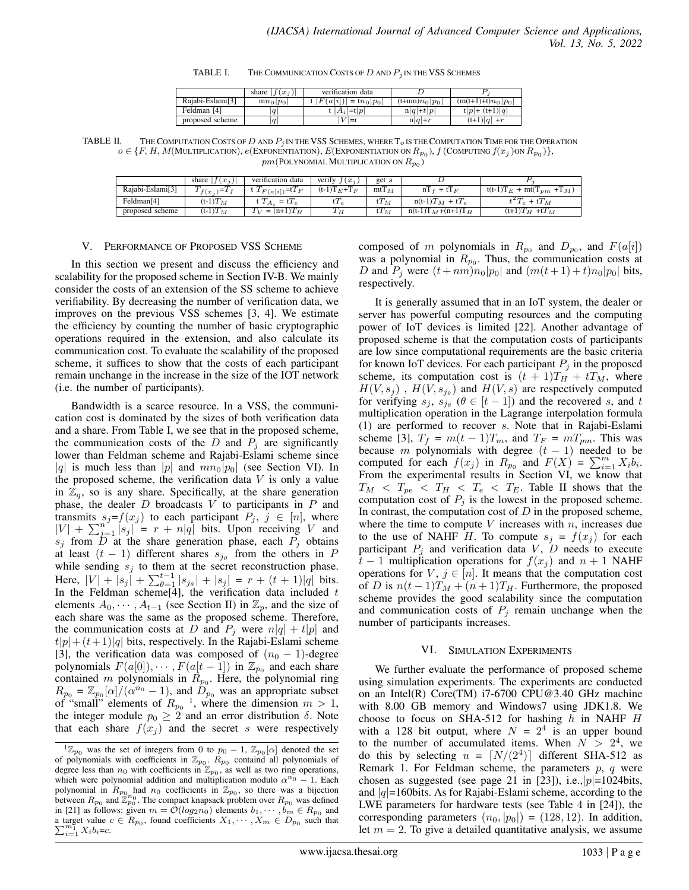| TABLE I. | THE COMMUNICATION COSTS OF $D$ and $P_i$ in the VSS SCHEMES |
|----------|-------------------------------------------------------------|
|----------|-------------------------------------------------------------|

|                  | share $ f(x_i) $ | verification data                 |                  |                      |
|------------------|------------------|-----------------------------------|------------------|----------------------|
| Rajabi-Eslami[3] | $m_0 p_0 $       | $ F(a[i])  = \frac{tn_0 p_0 }{r}$ | $(t+nm)n_0 p_0 $ | $(m(t+1)+t)n_0 p_0 $ |
| Feldman [4]      | $\boldsymbol{a}$ | $ A_i  = t p $                    | $n q +t p $      | $t p +(t+1) q $      |
| proposed scheme  | $\boldsymbol{a}$ | $V=$ r                            | $n q +r$         | $(t+1) q  + r$       |

TABLE II. THE COMPUTATION COSTS OF D AND  $P_j$  IN THE VSS SCHEMES, WHERE  $T_o$  IS THE COMPUTATION TIME FOR THE OPERATION  $o \in \{F, H, M(\text{MULTIPLICATION}), e(\text{EXPONENTIATION}), E(\text{EXPONENTIATION ON } R_{p_0}), f(\text{COMPUTING } f(x_j) \text{ON } R_{p_0})\},$  $pm(\hbox{Polynomial Multi-1}$ POLYNOMIAL  $\hbox{MULTIPLICATION ON}$   $R_{p_0})$ 

|                        | $f(x_i)$<br>share                | verification data   | verify $f(x_i)$ | get s                            |                      |                                     |
|------------------------|----------------------------------|---------------------|-----------------|----------------------------------|----------------------|-------------------------------------|
| Rajabi-Eslami[3]       | $\mathbf{r} = T$<br>$T_{f(x_i)}$ | $1 F(a[i]) = T_F 1$ | $(t-1)T_E+T_F$  | $m(T_M)$                         | $+$ tT <sub>F</sub>  | $t(t-1)T_E + mt(T_{pm}$ .<br>$+T_M$ |
| Feldman <sup>[4]</sup> | (t-1) $T_M$                      | $=$ t $T_e$         | $tT_e$          | $\sqrt{T}$<br>$^{{\sf I}}{}^I$ M | $n(t-1)T_M + tT_e$   | $12 \pi$<br>${}^2T_e$ + t $T_M$     |
| proposed scheme        | (t-1) $T_M$                      | $= (n+1)T_H$        | $T_H$           | t $T_M$                          | $n(t-1)T_M+(n+1)T_H$ | $(t+1)T_H$ +t $T_M$                 |

#### V. PERFORMANCE OF PROPOSED VSS SCHEME

In this section we present and discuss the efficiency and scalability for the proposed scheme in Section IV-B. We mainly consider the costs of an extension of the SS scheme to achieve verifiability. By decreasing the number of verification data, we improves on the previous VSS schemes [3, 4]. We estimate the efficiency by counting the number of basic cryptographic operations required in the extension, and also calculate its communication cost. To evaluate the scalability of the proposed scheme, it suffices to show that the costs of each participant remain unchange in the increase in the size of the IOT network (i.e. the number of participants).

Bandwidth is a scarce resource. In a VSS, the communication cost is dominated by the sizes of both verification data and a share. From Table I, we see that in the proposed scheme, the communication costs of the  $D$  and  $P_i$  are significantly lower than Feldman scheme and Rajabi-Eslami scheme since |q| is much less than |p| and  $mn_0|p_0|$  (see Section VI). In the proposed scheme, the verification data  $V$  is only a value in  $\mathbb{Z}_q$ , so is any share. Specifically, at the share generation phase, the dealer  $D$  broadcasts  $V$  to participants in  $P$  and transmits  $s_j = f(x_j)$  to each participant  $P_j$ ,  $j \in [n]$ , where  $|V| + \sum_{j=1}^{n} |s_j| = r + n|q|$  bits. Upon receiving V and  $s_j$  from D at the share generation phase, each  $P_j$  obtains at least  $(t - 1)$  different shares  $s_{j_\theta}$  from the others in P while sending  $s_j$  to them at the secret reconstruction phase. Here,  $|V| + |s_j| + \sum_{\theta=1}^{t-1} |s_{j_\theta}| + |s_j| = r + (t+1)|q|$  bits. In the Feldman scheme<sup>[4]</sup>, the verification data included  $t$ elements  $A_0, \dots, A_{t-1}$  (see Section II) in  $\mathbb{Z}_p$ , and the size of each share was the same as the proposed scheme. Therefore, the communication costs at D and  $P_i$  were  $n|q| + t|p|$  and  $t|p| + (t+1)|q|$  bits, respectively. In the Rajabi-Eslami scheme [3], the verification data was composed of  $(n_0 - 1)$ -degree polynomials  $F(a[0])$ ,  $\cdots$ ,  $F(a[t-1])$  in  $\mathbb{Z}_{p_0}$  and each share contained m polynomials in  $R_{p_0}$ . Here, the polynomial ring  $R_{p_0} = \mathbb{Z}_{p_0}[\alpha]/(\alpha^{n_0} - 1)$ , and  $\mathbb{D}_{p_0}^{\infty}$  was an appropriate subset of "small" elements of  $R_{p_0}$ <sup>1</sup>, where the dimension  $m > 1$ , the integer module  $p_0 \geq 2$  and an error distribution  $\delta$ . Note that each share  $f(x_j)$  and the secret s were respectively

composed of m polynomials in  $R_{p_0}$  and  $D_{p_0}$ , and  $F(a[i])$ was a polynomial in  $R_{p_0}$ . Thus, the communication costs at D and  $P_i$  were  $(t+nm)n_0|p_0|$  and  $(m(t+1)+t)n_0|p_0|$  bits, respectively.

It is generally assumed that in an IoT system, the dealer or server has powerful computing resources and the computing power of IoT devices is limited [22]. Another advantage of proposed scheme is that the computation costs of participants are low since computational requirements are the basic criteria for known IoT devices. For each participant  $P_i$  in the proposed scheme, its computation cost is  $(t + 1)T_H + tT_M$ , where  $H(V, s_j)$ ,  $H(V, s_{j_{\theta}})$  and  $H(V, s)$  are respectively computed for verifying  $s_j$ ,  $s_{j_\theta}$  ( $\theta \in [t-1]$ ) and the recovered s, and t multiplication operation in the Lagrange interpolation formula (1) are performed to recover s. Note that in Rajabi-Eslami scheme [3],  $T_f = m(t-1)T_m$ , and  $T_F = mT_{pm}$ . This was because m polynomials with degree  $(t - 1)$  needed to be computed for each  $f(x_j)$  in  $R_{p_0}$  and  $F(X) = \sum_{i=1}^m X_i b_i$ . From the experimental results in Section VI, we know that  $T_M < T_{pe} < T_H < T_e < T_E$ . Table II shows that the computation cost of  $P_j$  is the lowest in the proposed scheme. In contrast, the computation cost of  $D$  in the proposed scheme, where the time to compute  $V$  increases with  $n$ , increases due to the use of NAHF H. To compute  $s_j = f(x_j)$  for each participant  $P_j$  and verification data V,  $D$  needs to execute  $t-1$  multiplication operations for  $f(x_j)$  and  $n+1$  NAHF operations for  $V, j \in [n]$ . It means that the computation cost of D is  $n(t-1)T_M + (n+1)T_H$ . Furthermore, the proposed scheme provides the good scalability since the computation and communication costs of  $P_j$  remain unchange when the number of participants increases.

#### VI. SIMULATION EXPERIMENTS

We further evaluate the performance of proposed scheme using simulation experiments. The experiments are conducted on an Intel(R) Core(TM) i7-6700 CPU@3.40 GHz machine with 8.00 GB memory and Windows7 using JDK1.8. We choose to focus on SHA-512 for hashing  $h$  in NAHF  $H$ with a 128 bit output, where  $N = 2<sup>4</sup>$  is an upper bound to the number of accumulated items. When  $N > 2<sup>4</sup>$ , we do this by selecting  $u = \lfloor N/(2^4) \rfloor$  different SHA-512 as Remark 1. For Feldman scheme, the parameters  $p$ ,  $q$  were chosen as suggested (see page 21 in [23]), i.e., $|p|=1024$ bits, and  $|q|=160$ bits. As for Rajabi-Eslami scheme, according to the LWE parameters for hardware tests (see Table 4 in [24]), the corresponding parameters  $(n_0, |p_0|) = (128, 12)$ . In addition, let  $m = 2$ . To give a detailed quantitative analysis, we assume

 ${}^{1}\mathbb{Z}_{p_{0}}$  was the set of integers from 0 to  $p_{0} - 1$ ,  $\mathbb{Z}_{p_{0}}[\alpha]$  denoted the set of polynomials with coefficients in  $\mathbb{Z}_{p_0}$ .  $\hat{R}_{p_0}$  containd all polynomials of degree less than  $n_0$  with coefficients in  $\mathbb{Z}_{p_0}$ , as well as two ring operations, which were polynomial addition and multiplication modulo  $\alpha^{n_0} - 1$ . Each polynomial in  $R_{p_0}$  had  $n_0$  coefficients in  $\mathbb{Z}_{p_0}$ , so there was a bijection between  $R_{p_0}$  and  $\mathbb{Z}_{p_0}^{n_0}$ . The compact knapsack problem over  $R_{p_0}$  was defined in [21] as follows: given  $m = \mathcal{O}(log_2 n_0)$  elements  $b_1, \dots, b_m \in R_{p_0}$  and a target value  $c \in R_{p_0}$ , found coefficients  $X_1, \dots, X_m \in D_{p_0}$  such that  $\sum_{i=1}^{m_1} X_i b_i = c$ .  $\prod_{i=1}^{m_1} X_i b_i = c.$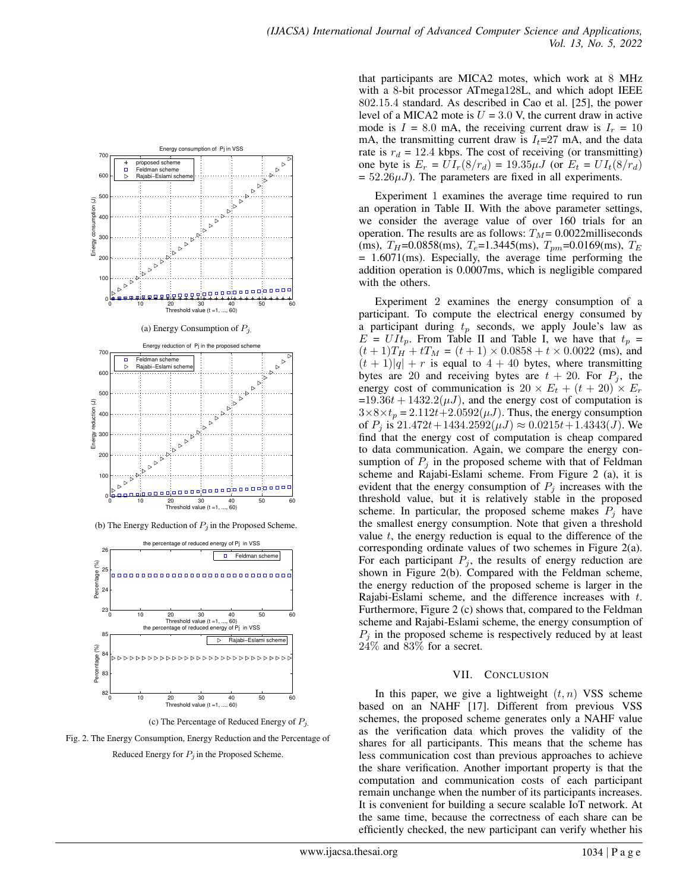

(c) The Percentage of Reduced Energy of  $P_i$ .

Fig. 2. The Energy Consumption, Energy Reduction and the Percentage of Reduced Energy for  $P_i$  in the Proposed Scheme.

that participants are MICA2 motes, which work at 8 MHz with a 8-bit processor ATmega128L, and which adopt IEEE 802.15.4 standard. As described in Cao et al. [25], the power level of a MICA2 mote is  $U = 3.0$  V, the current draw in active mode is  $I = 8.0$  mA, the receiving current draw is  $I_r = 10$ mA, the transmitting current draw is  $I_t=27$  mA, and the data rate is  $r_d = 12.4$  kbps. The cost of receiving (or transmitting) one byte is  $E_r = U I_r(8/r_d) = 19.35 \mu J$  (or  $E_t = U I_t(8/r_d)$ )  $= 52.26 \mu J$ ). The parameters are fixed in all experiments.

Experiment 1 examines the average time required to run an operation in Table II. With the above parameter settings, we consider the average value of over 160 trials for an operation. The results are as follows:  $T_M$  = 0.0022milliseconds (ms),  $T_H$ =0.0858(ms),  $T_e$ =1.3445(ms),  $T_{pm}$ =0.0169(ms),  $T_E$ = 1.6071(ms). Especially, the average time performing the addition operation is 0.0007ms, which is negligible compared with the others.

Experiment 2 examines the energy consumption of a participant. To compute the electrical energy consumed by a participant during  $t_p$  seconds, we apply Joule's law as  $E = UIt_p$ . From Table II and Table I, we have that  $t_p =$  $(t+1)T_H + tT_M = (t+1) \times 0.0858 + t \times 0.0022$  (ms), and  $(t + 1)|q| + r$  is equal to  $4 + 40$  bytes, where transmitting bytes are 20 and receiving bytes are  $t + 20$ . For  $P_i$ , the energy cost of communication is  $20 \times E_t + (t + 20) \times E_r$  $=19.36t + 1432.2(\mu J)$ , and the energy cost of computation is  $3\times8\times t_p = 2.112t+2.0592(\mu J)$ . Thus, the energy consumption of  $P_j$  is 21.472t+1434.2592( $\mu J$ )  $\approx 0.0215t+1.4343(J)$ . We find that the energy cost of computation is cheap compared to data communication. Again, we compare the energy consumption of  $P_i$  in the proposed scheme with that of Feldman scheme and Rajabi-Eslami scheme. From Figure 2 (a), it is evident that the energy consumption of  $P_j$  increases with the threshold value, but it is relatively stable in the proposed scheme. In particular, the proposed scheme makes  $P_i$  have the smallest energy consumption. Note that given a threshold value  $t$ , the energy reduction is equal to the difference of the corresponding ordinate values of two schemes in Figure 2(a). For each participant  $P_j$ , the results of energy reduction are shown in Figure 2(b). Compared with the Feldman scheme, the energy reduction of the proposed scheme is larger in the Rajabi-Eslami scheme, and the difference increases with t. Furthermore, Figure 2 (c) shows that, compared to the Feldman scheme and Rajabi-Eslami scheme, the energy consumption of  $P_i$  in the proposed scheme is respectively reduced by at least 24% and 83% for a secret.

## VII. CONCLUSION

In this paper, we give a lightweight  $(t, n)$  VSS scheme based on an NAHF [17]. Different from previous VSS schemes, the proposed scheme generates only a NAHF value as the verification data which proves the validity of the shares for all participants. This means that the scheme has less communication cost than previous approaches to achieve the share verification. Another important property is that the computation and communication costs of each participant remain unchange when the number of its participants increases. It is convenient for building a secure scalable IoT network. At the same time, because the correctness of each share can be efficiently checked, the new participant can verify whether his